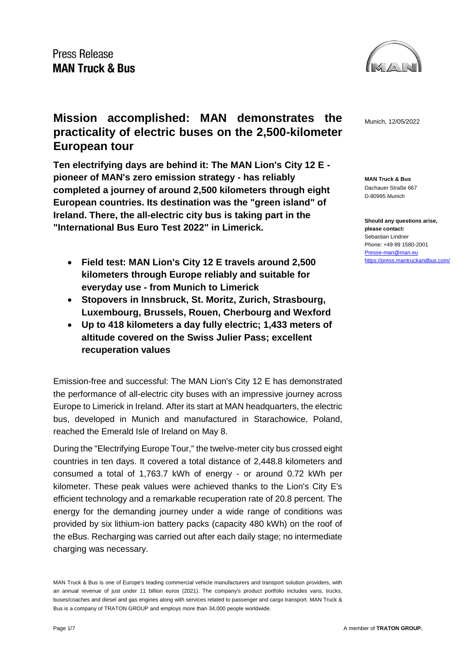

**MAN Truck & Bus** Dachauer Straße 667 D-80995 Munich

**Should any questions arise, please contact:** Sebastian Lindner Phone: +49 89 1580-2001 [Presse-man@man.eu](mailto:Presse-man@man.eu) <https://press.mantruckandbus.com/>

# **Mission accomplished: MAN demonstrates the**  $_{\text{Munich, 12/05/2022}}$ **practicality of electric buses on the 2,500-kilometer European tour**

**Ten electrifying days are behind it: The MAN Lion's City 12 E pioneer of MAN's zero emission strategy - has reliably completed a journey of around 2,500 kilometers through eight European countries. Its destination was the "green island" of Ireland. There, the all-electric city bus is taking part in the "International Bus Euro Test 2022" in Limerick.**

- **Field test: MAN Lion's City 12 E travels around 2,500 kilometers through Europe reliably and suitable for everyday use - from Munich to Limerick**
- **Stopovers in Innsbruck, St. Moritz, Zurich, Strasbourg, Luxembourg, Brussels, Rouen, Cherbourg and Wexford**
- **Up to 418 kilometers a day fully electric; 1,433 meters of altitude covered on the Swiss Julier Pass; excellent recuperation values**

Emission-free and successful: The MAN Lion's City 12 E has demonstrated the performance of all-electric city buses with an impressive journey across Europe to Limerick in Ireland. After its start at MAN headquarters, the electric bus, developed in Munich and manufactured in Starachowice, Poland, reached the Emerald Isle of Ireland on May 8.

During the "Electrifying Europe Tour," the twelve-meter city bus crossed eight countries in ten days. It covered a total distance of 2,448.8 kilometers and consumed a total of 1,763.7 kWh of energy - or around 0.72 kWh per kilometer. These peak values were achieved thanks to the Lion's City E's efficient technology and a remarkable recuperation rate of 20.8 percent. The energy for the demanding journey under a wide range of conditions was provided by six lithium-ion battery packs (capacity 480 kWh) on the roof of the eBus. Recharging was carried out after each daily stage; no intermediate charging was necessary.

MAN Truck & Bus is one of Europe's leading commercial vehicle manufacturers and transport solution providers, with an annual revenue of just under 11 billion euros (2021). The company's product portfolio includes vans, trucks, buses/coaches and diesel and gas engines along with services related to passenger and cargo transport. MAN Truck & Bus is a company of TRATON GROUP and employs more than 34,000 people worldwide.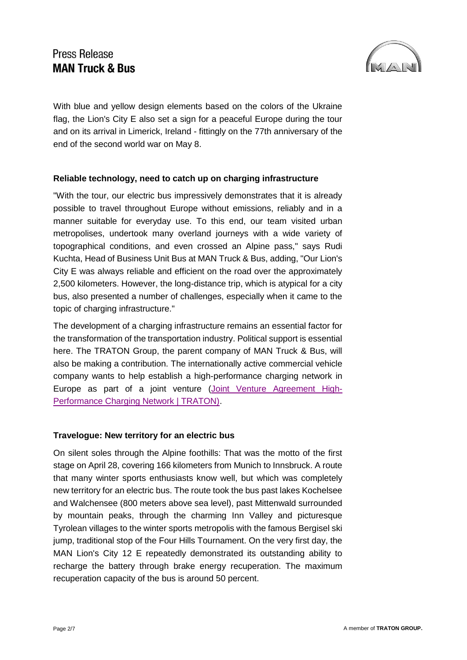

With blue and yellow design elements based on the colors of the Ukraine flag, the Lion's City E also set a sign for a peaceful Europe during the tour and on its arrival in Limerick, Ireland - fittingly on the 77th anniversary of the end of the second world war on May 8.

#### **Reliable technology, need to catch up on charging infrastructure**

"With the tour, our electric bus impressively demonstrates that it is already possible to travel throughout Europe without emissions, reliably and in a manner suitable for everyday use. To this end, our team visited urban metropolises, undertook many overland journeys with a wide variety of topographical conditions, and even crossed an Alpine pass," says Rudi Kuchta, Head of Business Unit Bus at MAN Truck & Bus, adding, "Our Lion's City E was always reliable and efficient on the road over the approximately 2,500 kilometers. However, the long-distance trip, which is atypical for a city bus, also presented a number of challenges, especially when it came to the topic of charging infrastructure."

The development of a charging infrastructure remains an essential factor for the transformation of the transportation industry. Political support is essential here. The TRATON Group, the parent company of MAN Truck & Bus, will also be making a contribution. The internationally active commercial vehicle company wants to help establish a high-performance charging network in Europe as part of a joint venture [\(Joint Venture Agreement High-](https://traton.com/en/newsroom/press_releases/press-release-16122021.html)[Performance Charging Network | TRATON\).](https://traton.com/en/newsroom/press_releases/press-release-16122021.html)

### **Travelogue: New territory for an electric bus**

On silent soles through the Alpine foothills: That was the motto of the first stage on April 28, covering 166 kilometers from Munich to Innsbruck. A route that many winter sports enthusiasts know well, but which was completely new territory for an electric bus. The route took the bus past lakes Kochelsee and Walchensee (800 meters above sea level), past Mittenwald surrounded by mountain peaks, through the charming Inn Valley and picturesque Tyrolean villages to the winter sports metropolis with the famous Bergisel ski jump, traditional stop of the Four Hills Tournament. On the very first day, the MAN Lion's City 12 E repeatedly demonstrated its outstanding ability to recharge the battery through brake energy recuperation. The maximum recuperation capacity of the bus is around 50 percent.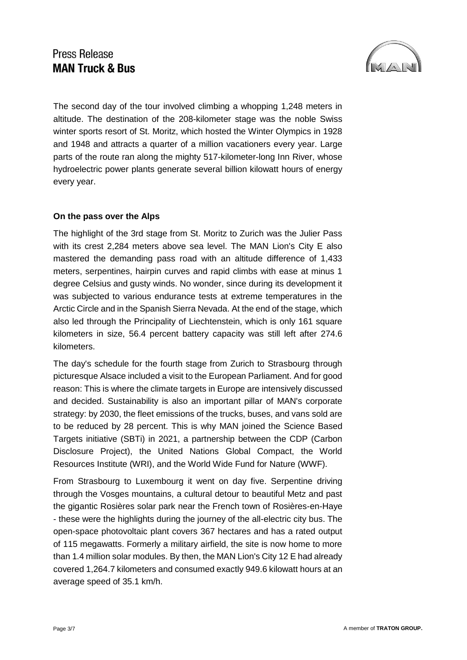

The second day of the tour involved climbing a whopping 1,248 meters in altitude. The destination of the 208-kilometer stage was the noble Swiss winter sports resort of St. Moritz, which hosted the Winter Olympics in 1928 and 1948 and attracts a quarter of a million vacationers every year. Large parts of the route ran along the mighty 517-kilometer-long Inn River, whose hydroelectric power plants generate several billion kilowatt hours of energy every year.

#### **On the pass over the Alps**

The highlight of the 3rd stage from St. Moritz to Zurich was the Julier Pass with its crest 2,284 meters above sea level. The MAN Lion's City E also mastered the demanding pass road with an altitude difference of 1,433 meters, serpentines, hairpin curves and rapid climbs with ease at minus 1 degree Celsius and gusty winds. No wonder, since during its development it was subjected to various endurance tests at extreme temperatures in the Arctic Circle and in the Spanish Sierra Nevada. At the end of the stage, which also led through the Principality of Liechtenstein, which is only 161 square kilometers in size, 56.4 percent battery capacity was still left after 274.6 kilometers.

The day's schedule for the fourth stage from Zurich to Strasbourg through picturesque Alsace included a visit to the European Parliament. And for good reason: This is where the climate targets in Europe are intensively discussed and decided. Sustainability is also an important pillar of MAN's corporate strategy: by 2030, the fleet emissions of the trucks, buses, and vans sold are to be reduced by 28 percent. This is why MAN joined the Science Based Targets initiative (SBTi) in 2021, a partnership between the CDP (Carbon Disclosure Project), the United Nations Global Compact, the World Resources Institute (WRI), and the World Wide Fund for Nature (WWF).

From Strasbourg to Luxembourg it went on day five. Serpentine driving through the Vosges mountains, a cultural detour to beautiful Metz and past the gigantic Rosières solar park near the French town of Rosières-en-Haye - these were the highlights during the journey of the all-electric city bus. The open-space photovoltaic plant covers 367 hectares and has a rated output of 115 megawatts. Formerly a military airfield, the site is now home to more than 1.4 million solar modules. By then, the MAN Lion's City 12 E had already covered 1,264.7 kilometers and consumed exactly 949.6 kilowatt hours at an average speed of 35.1 km/h.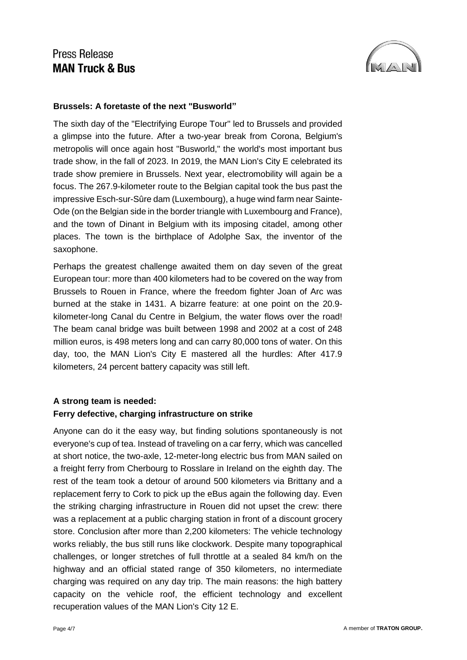

#### **Brussels: A foretaste of the next "Busworld"**

The sixth day of the "Electrifying Europe Tour" led to Brussels and provided a glimpse into the future. After a two-year break from Corona, Belgium's metropolis will once again host "Busworld," the world's most important bus trade show, in the fall of 2023. In 2019, the MAN Lion's City E celebrated its trade show premiere in Brussels. Next year, electromobility will again be a focus. The 267.9-kilometer route to the Belgian capital took the bus past the impressive Esch-sur-Sûre dam (Luxembourg), a huge wind farm near Sainte-Ode (on the Belgian side in the border triangle with Luxembourg and France), and the town of Dinant in Belgium with its imposing citadel, among other places. The town is the birthplace of Adolphe Sax, the inventor of the saxophone.

Perhaps the greatest challenge awaited them on day seven of the great European tour: more than 400 kilometers had to be covered on the way from Brussels to Rouen in France, where the freedom fighter Joan of Arc was burned at the stake in 1431. A bizarre feature: at one point on the 20.9 kilometer-long Canal du Centre in Belgium, the water flows over the road! The beam canal bridge was built between 1998 and 2002 at a cost of 248 million euros, is 498 meters long and can carry 80,000 tons of water. On this day, too, the MAN Lion's City E mastered all the hurdles: After 417.9 kilometers, 24 percent battery capacity was still left.

### **A strong team is needed: Ferry defective, charging infrastructure on strike**

Anyone can do it the easy way, but finding solutions spontaneously is not everyone's cup of tea. Instead of traveling on a car ferry, which was cancelled at short notice, the two-axle, 12-meter-long electric bus from MAN sailed on a freight ferry from Cherbourg to Rosslare in Ireland on the eighth day. The rest of the team took a detour of around 500 kilometers via Brittany and a replacement ferry to Cork to pick up the eBus again the following day. Even the striking charging infrastructure in Rouen did not upset the crew: there was a replacement at a public charging station in front of a discount grocery store. Conclusion after more than 2,200 kilometers: The vehicle technology works reliably, the bus still runs like clockwork. Despite many topographical challenges, or longer stretches of full throttle at a sealed 84 km/h on the highway and an official stated range of 350 kilometers, no intermediate charging was required on any day trip. The main reasons: the high battery capacity on the vehicle roof, the efficient technology and excellent recuperation values of the MAN Lion's City 12 E.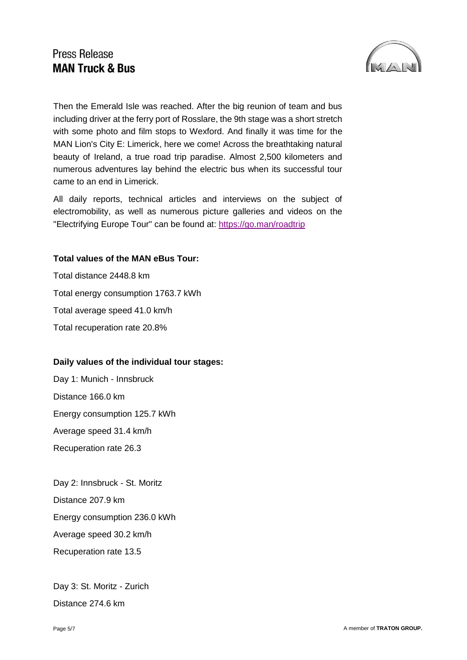

Then the Emerald Isle was reached. After the big reunion of team and bus including driver at the ferry port of Rosslare, the 9th stage was a short stretch with some photo and film stops to Wexford. And finally it was time for the MAN Lion's City E: Limerick, here we come! Across the breathtaking natural beauty of Ireland, a true road trip paradise. Almost 2,500 kilometers and numerous adventures lay behind the electric bus when its successful tour came to an end in Limerick.

All daily reports, technical articles and interviews on the subject of electromobility, as well as numerous picture galleries and videos on the "Electrifying Europe Tour" can be found at:<https://go.man/roadtrip>

#### **Total values of the MAN eBus Tour:**

Total distance 2448.8 km Total energy consumption 1763.7 kWh Total average speed 41.0 km/h Total recuperation rate 20.8%

### **Daily values of the individual tour stages:**

Day 1: Munich - Innsbruck Distance 166.0 km Energy consumption 125.7 kWh Average speed 31.4 km/h Recuperation rate 26.3

Day 2: Innsbruck - St. Moritz Distance 207.9 km Energy consumption 236.0 kWh Average speed 30.2 km/h Recuperation rate 13.5

Day 3: St. Moritz - Zurich Distance 274.6 km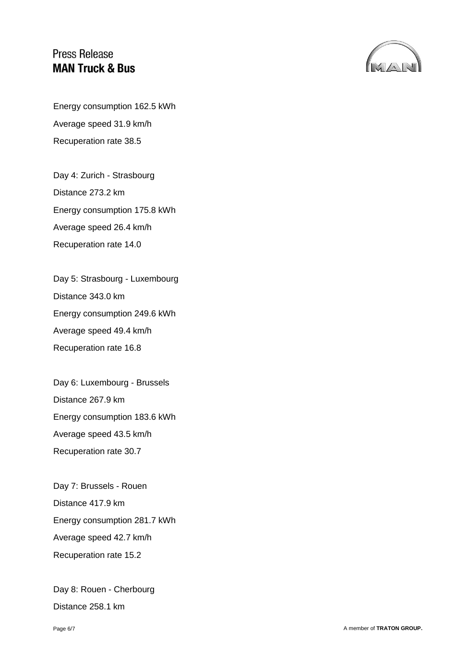

Energy consumption 162.5 kWh Average speed 31.9 km/h Recuperation rate 38.5

Day 4: Zurich - Strasbourg Distance 273.2 km Energy consumption 175.8 kWh Average speed 26.4 km/h Recuperation rate 14.0

Day 5: Strasbourg - Luxembourg Distance 343.0 km Energy consumption 249.6 kWh Average speed 49.4 km/h Recuperation rate 16.8

Day 6: Luxembourg - Brussels Distance 267.9 km Energy consumption 183.6 kWh Average speed 43.5 km/h Recuperation rate 30.7

Day 7: Brussels - Rouen Distance 417.9 km Energy consumption 281.7 kWh Average speed 42.7 km/h Recuperation rate 15.2

Day 8: Rouen - Cherbourg Distance 258.1 km